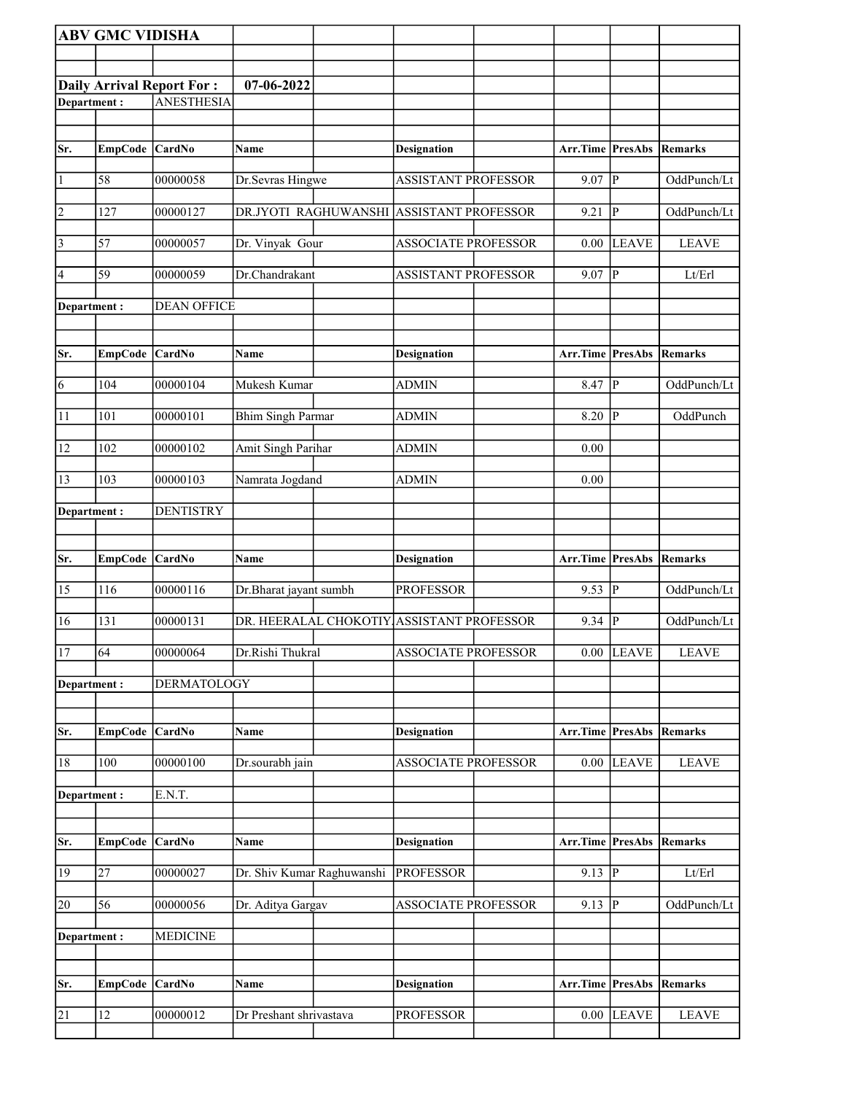|                 | <b>ABV GMC VIDISHA</b> |                                  |                            |                                           |                                 |                |                |
|-----------------|------------------------|----------------------------------|----------------------------|-------------------------------------------|---------------------------------|----------------|----------------|
|                 |                        |                                  |                            |                                           |                                 |                |                |
|                 |                        | <b>Daily Arrival Report For:</b> | 07-06-2022                 |                                           |                                 |                |                |
| Department:     |                        | <b>ANESTHESIA</b>                |                            |                                           |                                 |                |                |
|                 |                        |                                  |                            |                                           |                                 |                |                |
| Sr.             | EmpCode CardNo         |                                  | Name                       | <b>Designation</b>                        | <b>Arr.Time PresAbs Remarks</b> |                |                |
|                 |                        |                                  |                            |                                           |                                 |                |                |
| $\vert$ 1       | 58                     | 00000058                         | Dr.Sevras Hingwe           | <b>ASSISTANT PROFESSOR</b>                | 9.07                            | P              | OddPunch/Lt    |
| $\overline{2}$  | 127                    | 00000127                         |                            | DR.JYOTI RAGHUWANSHI ASSISTANT PROFESSOR  | 9.21                            | $\mathbf{P}$   | OddPunch/Lt    |
| $\vert$ 3       | 57                     | 00000057                         | Dr. Vinyak Gour            | <b>ASSOCIATE PROFESSOR</b>                | 0.00                            | <b>LEAVE</b>   | <b>LEAVE</b>   |
| 4               | 59                     | 00000059                         | Dr.Chandrakant             | <b>ASSISTANT PROFESSOR</b>                | 9.07                            | ${\bf P}$      | Lt/Erl         |
| Department:     |                        | <b>DEAN OFFICE</b>               |                            |                                           |                                 |                |                |
|                 |                        |                                  |                            |                                           |                                 |                |                |
| Sr.             | EmpCode CardNo         |                                  | Name                       | <b>Designation</b>                        | Arr.Time PresAbs                |                | Remarks        |
|                 |                        |                                  |                            |                                           |                                 |                |                |
| $\overline{6}$  | 104                    | 00000104                         | Mukesh Kumar               | <b>ADMIN</b>                              | 8.47                            | $\overline{P}$ | OddPunch/Lt    |
| 11              | 101                    | 00000101                         | <b>Bhim Singh Parmar</b>   | <b>ADMIN</b>                              | 8.20                            | P              | OddPunch       |
| 12              | 102                    | 00000102                         | Amit Singh Parihar         | <b>ADMIN</b>                              | 0.00                            |                |                |
| 13              | 103                    | 00000103                         | Namrata Jogdand            | <b>ADMIN</b>                              | 0.00                            |                |                |
| Department:     |                        | <b>DENTISTRY</b>                 |                            |                                           |                                 |                |                |
|                 |                        |                                  |                            |                                           |                                 |                |                |
|                 |                        |                                  |                            |                                           |                                 |                |                |
| Sr.             | <b>EmpCode</b>         | <b>CardNo</b>                    | Name                       | Designation                               | Arr.Time PresAbs                |                | Remarks        |
| 15              | 116                    | 00000116                         | Dr.Bharat jayant sumbh     | <b>PROFESSOR</b>                          | 9.53                            | ${\bf P}$      | OddPunch/Lt    |
| $\overline{16}$ |                        |                                  |                            |                                           |                                 |                |                |
|                 | 131                    | 00000131                         |                            | DR. HEERALAL CHOKOTIY ASSISTANT PROFESSOR | 9.34                            | $\overline{P}$ | OddPunch/Lt    |
| <sup>17</sup>   | 64                     | 00000064                         | Dr.Rishi Thukral           | <b>ASSOCIATE PROFESSOR</b>                |                                 | $0.00$ LEAVE   | <b>LEAVE</b>   |
|                 |                        |                                  |                            |                                           |                                 |                |                |
| Department:     |                        | <b>DERMATOLOGY</b>               |                            |                                           |                                 |                |                |
| Sr.             | <b>EmpCode</b>         | CardNo                           | Name                       | <b>Designation</b>                        | Arr.Time                        | <b>PresAbs</b> | <b>Remarks</b> |
| 18              | 100                    | 00000100                         | Dr.sourabh jain            | <b>ASSOCIATE PROFESSOR</b>                | 0.00                            | <b>LEAVE</b>   | <b>LEAVE</b>   |
|                 |                        |                                  |                            |                                           |                                 |                |                |
| Department:     |                        | E.N.T.                           |                            |                                           |                                 |                |                |
|                 |                        |                                  |                            |                                           |                                 |                |                |
| Sr.             | EmpCode CardNo         |                                  | Name                       | <b>Designation</b>                        | Arr.Time PresAbs                |                | Remarks        |
| 19              | 27                     | 00000027                         | Dr. Shiv Kumar Raghuwanshi | <b>PROFESSOR</b>                          | 9.13                            | P              | Lt/Erl         |
| 20              | 56                     | 00000056                         | Dr. Aditya Gargav          | ASSOCIATE PROFESSOR                       | 9.13                            | $\mathbf P$    | OddPunch/Lt    |
| Department:     |                        | <b>MEDICINE</b>                  |                            |                                           |                                 |                |                |
|                 |                        |                                  |                            |                                           |                                 |                |                |
|                 |                        |                                  |                            |                                           |                                 |                |                |
| Sr.             | <b>EmpCode</b>         | <b>CardNo</b>                    | Name                       | <b>Designation</b>                        | Arr.Time                        | <b>PresAbs</b> | Remarks        |
| 21              | 12                     | 00000012                         | Dr Preshant shrivastava    | <b>PROFESSOR</b>                          | 0.00                            | <b>LEAVE</b>   | <b>LEAVE</b>   |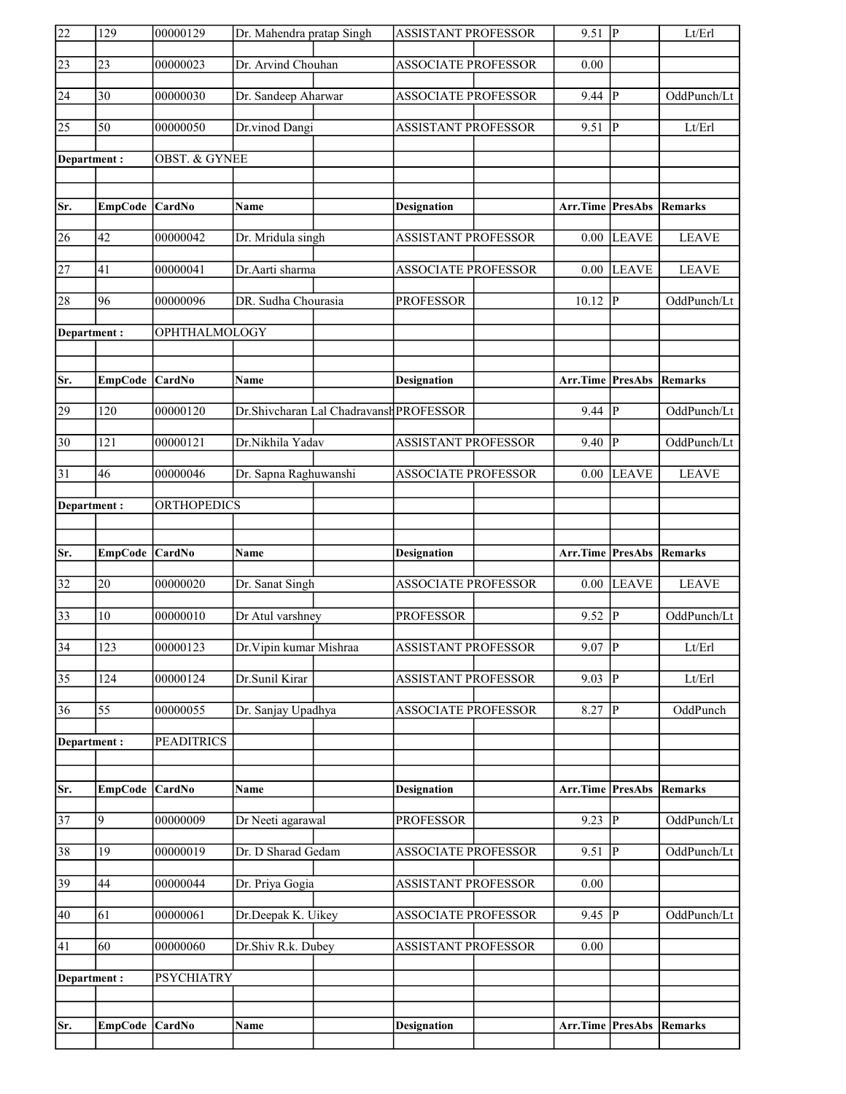| 22              | 129            | 00000129                 | Dr. Mahendra pratap Singh |                                         | ASSISTANT PROFESSOR        | 9.51                            | $\overline{P}$ | Lt/Erl         |
|-----------------|----------------|--------------------------|---------------------------|-----------------------------------------|----------------------------|---------------------------------|----------------|----------------|
| $\sqrt{23}$     | 23             | 00000023                 | Dr. Arvind Chouhan        |                                         | <b>ASSOCIATE PROFESSOR</b> | 0.00                            |                |                |
| 24              | 30             | 00000030                 | Dr. Sandeep Aharwar       |                                         | ASSOCIATE PROFESSOR        | 9.44                            | $\mathbf{P}$   | OddPunch/Lt    |
| $\overline{25}$ | 50             | 00000050                 | Dr.vinod Dangi            |                                         | <b>ASSISTANT PROFESSOR</b> | 9.51                            | $\mathbf P$    | Lt/Erl         |
| Department:     |                | <b>OBST. &amp; GYNEE</b> |                           |                                         |                            |                                 |                |                |
|                 |                |                          |                           |                                         |                            |                                 |                |                |
| Sr.             | EmpCode CardNo |                          | <b>Name</b>               |                                         | <b>Designation</b>         | <b>Arr.Time PresAbs Remarks</b> |                |                |
| 26              | 42             | 00000042                 | Dr. Mridula singh         |                                         | <b>ASSISTANT PROFESSOR</b> | 0.00                            | <b>LEAVE</b>   | <b>LEAVE</b>   |
| $\overline{27}$ | 41             | 00000041                 | Dr.Aarti sharma           |                                         | <b>ASSOCIATE PROFESSOR</b> | 0.00                            | <b>LEAVE</b>   | <b>LEAVE</b>   |
| 28              | 96             | 00000096                 | DR. Sudha Chourasia       |                                         | <b>PROFESSOR</b>           | 10.12                           | $\overline{P}$ | OddPunch/Lt    |
| Department:     |                | OPHTHALMOLOGY            |                           |                                         |                            |                                 |                |                |
|                 |                |                          |                           |                                         |                            |                                 |                |                |
| Sr.             | <b>EmpCode</b> | <b>CardNo</b>            | Name                      |                                         | <b>Designation</b>         | <b>Arr.Time PresAbs Remarks</b> |                |                |
| 29              | 120            | 00000120                 |                           | Dr.Shivcharan Lal Chadravansh PROFESSOR |                            | 9.44                            | $\mathbf{P}$   | OddPunch/Lt    |
| $\overline{30}$ | 121            | 00000121                 | Dr.Nikhila Yadav          |                                         | <b>ASSISTANT PROFESSOR</b> | 9.40                            | $\mathbf{P}$   | OddPunch/Lt    |
| 31              | 46             | 00000046                 | Dr. Sapna Raghuwanshi     |                                         | <b>ASSOCIATE PROFESSOR</b> | 0.00                            | <b>LEAVE</b>   | <b>LEAVE</b>   |
| Department:     |                | <b>ORTHOPEDICS</b>       |                           |                                         |                            |                                 |                |                |
|                 |                |                          |                           |                                         |                            |                                 |                |                |
|                 |                |                          |                           |                                         |                            |                                 |                |                |
| Sr.             | <b>EmpCode</b> | <b>CardNo</b>            | Name                      |                                         | <b>Designation</b>         | <b>Arr.Time PresAbs</b>         |                | Remarks        |
| $\overline{32}$ | 20             | 00000020                 | Dr. Sanat Singh           |                                         | <b>ASSOCIATE PROFESSOR</b> | 0.00                            | <b>LEAVE</b>   | <b>LEAVE</b>   |
| $\overline{33}$ | 10             | 00000010                 | Dr Atul varshney          |                                         | <b>PROFESSOR</b>           | 9.52                            | $\mathbf{P}$   | OddPunch/Lt    |
| $\overline{34}$ | 123            | 00000123                 | Dr. Vipin kumar Mishraa   |                                         | <b>ASSISTANT PROFESSOR</b> | $9.07$ P                        |                | Lt/Erl         |
| $\overline{35}$ | 124            | 00000124                 | Dr.Sunil Kirar            |                                         | <b>ASSISTANT PROFESSOR</b> | 9.03                            | $\mathbf P$    | Lt/Erl         |
| 36              | 55             | 00000055                 | Dr. Sanjay Upadhya        |                                         | <b>ASSOCIATE PROFESSOR</b> | 8.27                            | P              | OddPunch       |
| Department:     |                | <b>PEADITRICS</b>        |                           |                                         |                            |                                 |                |                |
|                 |                |                          |                           |                                         |                            |                                 |                |                |
| Sr.             | <b>EmpCode</b> | <b>CardNo</b>            | Name                      |                                         | <b>Designation</b>         | Arr.Time                        | <b>PresAbs</b> | <b>Remarks</b> |
| $\overline{37}$ | 9              | 00000009                 | Dr Neeti agarawal         |                                         | <b>PROFESSOR</b>           | 9.23                            | $\overline{P}$ | OddPunch/Lt    |
| 38              | 19             | 00000019                 | Dr. D Sharad Gedam        |                                         | <b>ASSOCIATE PROFESSOR</b> | 9.51                            | $\overline{P}$ | OddPunch/Lt    |
| 39              | 44             | 00000044                 | Dr. Priya Gogia           |                                         | ASSISTANT PROFESSOR        | 0.00                            |                |                |
| 40              | 61             | 00000061                 | Dr.Deepak K. Uikey        |                                         | ASSOCIATE PROFESSOR        | 9.45                            | P              | OddPunch/Lt    |
| 41              | 60             | 00000060                 | Dr.Shiv R.k. Dubey        |                                         | <b>ASSISTANT PROFESSOR</b> | 0.00                            |                |                |
| Department:     |                | <b>PSYCHIATRY</b>        |                           |                                         |                            |                                 |                |                |
|                 |                |                          |                           |                                         |                            |                                 |                |                |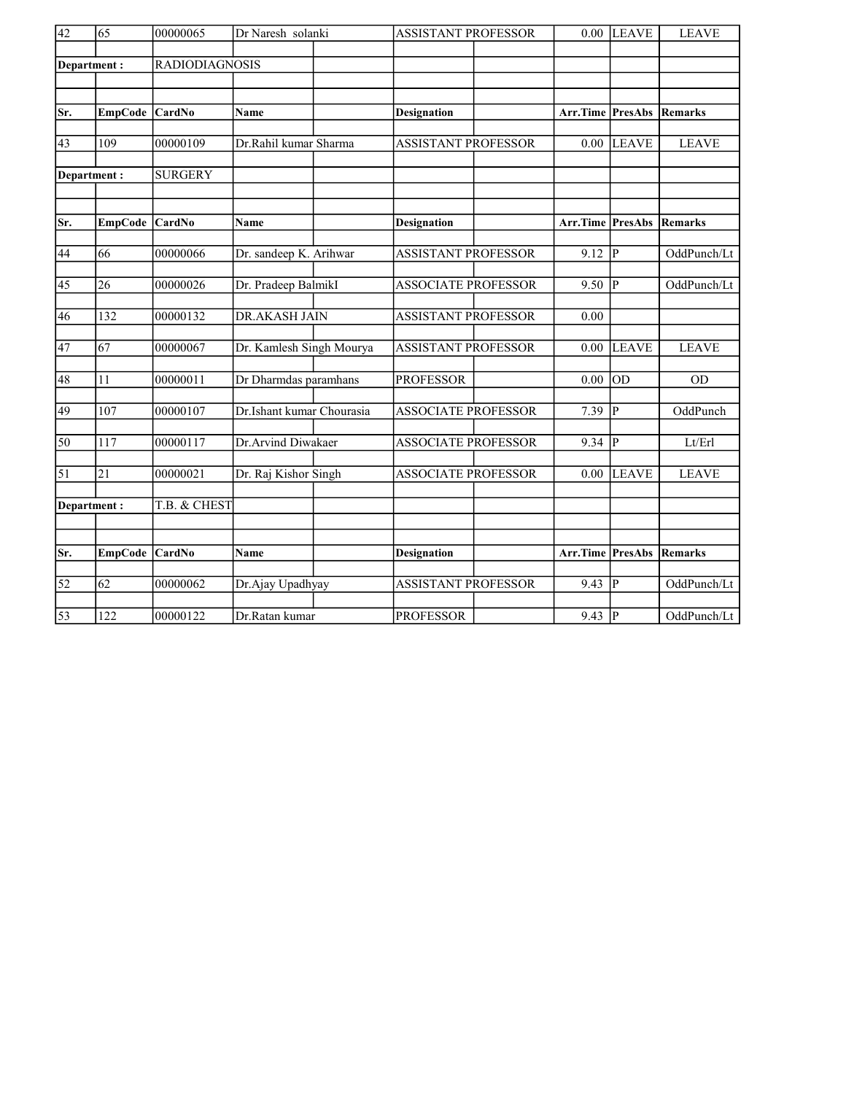| $\overline{42}$ | 65              | 00000065       | Dr Naresh solanki         | <b>ASSISTANT PROFESSOR</b> | 0.00     | <b>LEAVE</b>   | <b>LEAVE</b> |
|-----------------|-----------------|----------------|---------------------------|----------------------------|----------|----------------|--------------|
|                 | Department:     | RADIODIAGNOSIS |                           |                            |          |                |              |
|                 |                 |                |                           |                            |          |                |              |
|                 |                 |                |                           |                            |          |                |              |
| Sr.             | <b>EmpCode</b>  | CardNo         | Name                      | <b>Designation</b>         | Arr.Time | <b>PresAbs</b> | Remarks      |
| 43              | 109             | 00000109       | Dr.Rahil kumar Sharma     | <b>ASSISTANT PROFESSOR</b> | 0.00     | <b>LEAVE</b>   | <b>LEAVE</b> |
|                 |                 |                |                           |                            |          |                |              |
|                 | Department:     | <b>SURGERY</b> |                           |                            |          |                |              |
|                 |                 |                |                           |                            |          |                |              |
| Sr.             | <b>EmpCode</b>  | CardNo         | Name                      | <b>Designation</b>         | Arr.Time | PresAbs        | Remarks      |
|                 |                 |                |                           |                            |          |                |              |
| 44              | 66              | 00000066       | Dr. sandeep K. Arihwar    | <b>ASSISTANT PROFESSOR</b> | 9.12     | $ {\bf p} $    | OddPunch/Lt  |
| 45              | 26              | 00000026       | Dr. Pradeep BalmikI       | <b>ASSOCIATE PROFESSOR</b> | 9.50     | $ {\bf p} $    | OddPunch/Lt  |
| 46              | 132             | 00000132       | DR.AKASH JAIN             | <b>ASSISTANT PROFESSOR</b> | 0.00     |                |              |
|                 |                 |                |                           |                            |          |                |              |
| 47              | 67              | 00000067       | Dr. Kamlesh Singh Mourya  | <b>ASSISTANT PROFESSOR</b> | 0.00     | <b>LEAVE</b>   | <b>LEAVE</b> |
| 48              | 11              | 00000011       | Dr Dharmdas paramhans     | <b>PROFESSOR</b>           | 0.00     | OD             | <b>OD</b>    |
|                 |                 |                |                           |                            |          |                |              |
| 49              | 107             | 00000107       | Dr.Ishant kumar Chourasia | <b>ASSOCIATE PROFESSOR</b> | 7.39     | P              | OddPunch     |
| 50              | 117             | 00000117       | Dr.Arvind Diwakaer        | <b>ASSOCIATE PROFESSOR</b> | 9.34     | P              | Lt/Erl       |
| 51              | 21              | 00000021       | Dr. Raj Kishor Singh      | <b>ASSOCIATE PROFESSOR</b> | 0.00     | <b>LEAVE</b>   | <b>LEAVE</b> |
|                 |                 |                |                           |                            |          |                |              |
|                 | Department:     | T.B. & CHEST   |                           |                            |          |                |              |
|                 |                 |                |                           |                            |          |                |              |
| Sr.             | EmpCode         | CardNo         | <b>Name</b>               | <b>Designation</b>         | Arr.Time | PresAbs        | Remarks      |
|                 |                 |                |                           |                            |          |                |              |
| $\overline{52}$ | $\overline{62}$ | 00000062       | Dr.Ajay Upadhyay          | <b>ASSISTANT PROFESSOR</b> | 9.43     | $\overline{P}$ | OddPunch/Lt  |
| $\overline{53}$ | 122             | 00000122       | Dr.Ratan kumar            | <b>PROFESSOR</b>           | $9.43$ P |                | OddPunch/Lt  |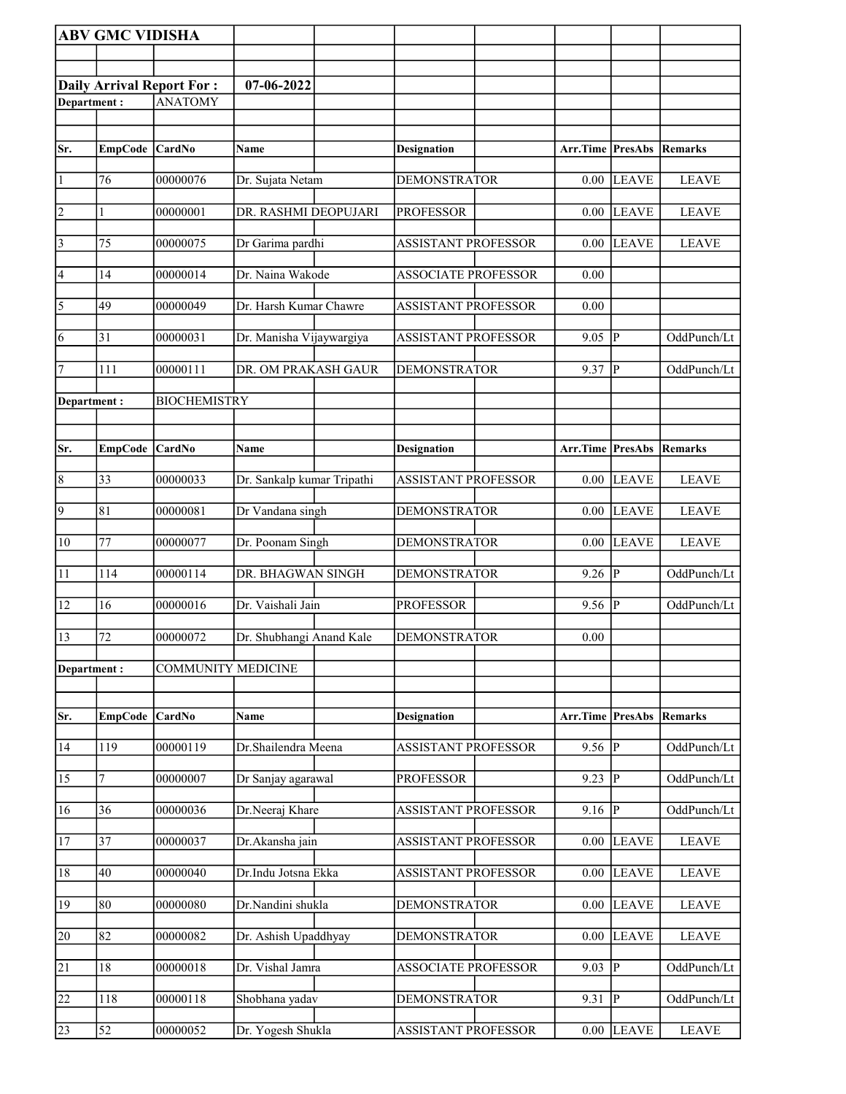|                                                                   | <b>ABV GMC VIDISHA</b> |                           |                            |                            |                                 |                |                |
|-------------------------------------------------------------------|------------------------|---------------------------|----------------------------|----------------------------|---------------------------------|----------------|----------------|
|                                                                   |                        |                           |                            |                            |                                 |                |                |
|                                                                   |                        |                           | 07-06-2022                 |                            |                                 |                |                |
| <b>Daily Arrival Report For:</b><br><b>ANATOMY</b><br>Department: |                        |                           |                            |                            |                                 |                |                |
|                                                                   |                        |                           |                            |                            |                                 |                |                |
| Sr.                                                               | EmpCode CardNo         |                           | Name                       | <b>Designation</b>         | <b>Arr.Time PresAbs</b>         |                | Remarks        |
| 1                                                                 | 76                     | 00000076                  | Dr. Sujata Netam           | <b>DEMONSTRATOR</b>        | 0.00                            | <b>LEAVE</b>   | <b>LEAVE</b>   |
|                                                                   |                        |                           |                            |                            |                                 |                |                |
| $\vert$ 2                                                         | 1                      | 00000001                  | DR. RASHMI DEOPUJARI       | <b>PROFESSOR</b>           | 0.00                            | <b>LEAVE</b>   | <b>LEAVE</b>   |
| $\vert$ 3                                                         | 75                     | 00000075                  | Dr Garima pardhi           | <b>ASSISTANT PROFESSOR</b> | 0.00                            | <b>LEAVE</b>   | <b>LEAVE</b>   |
| 4                                                                 | 14                     | 00000014                  | Dr. Naina Wakode           | <b>ASSOCIATE PROFESSOR</b> | 0.00                            |                |                |
| $\overline{\sqrt{5}}$                                             | 49                     | 00000049                  | Dr. Harsh Kumar Chawre     | <b>ASSISTANT PROFESSOR</b> | 0.00                            |                |                |
| 6                                                                 | 31                     | 00000031                  | Dr. Manisha Vijaywargiya   | <b>ASSISTANT PROFESSOR</b> | 9.05                            | <sup> </sup> P | OddPunch/Lt    |
| 7                                                                 | 111                    | 00000111                  | DR. OM PRAKASH GAUR        | <b>DEMONSTRATOR</b>        | 9.37                            | IР             | OddPunch/Lt    |
| Department:                                                       |                        | <b>BIOCHEMISTRY</b>       |                            |                            |                                 |                |                |
|                                                                   |                        |                           |                            |                            |                                 |                |                |
| Sr.                                                               | <b>EmpCode</b>         | <b>CardNo</b>             | Name                       | <b>Designation</b>         | Arr.Time                        | PresAbs        | Remarks        |
| $\overline{8}$                                                    | $ 33\rangle$           | 00000033                  |                            |                            | 0.00                            | <b>LEAVE</b>   | <b>LEAVE</b>   |
|                                                                   |                        |                           | Dr. Sankalp kumar Tripathi | ASSISTANT PROFESSOR        |                                 |                |                |
| $\overline{9}$                                                    | 81                     | 00000081                  | Dr Vandana singh           | <b>DEMONSTRATOR</b>        | 0.00                            | <b>LEAVE</b>   | <b>LEAVE</b>   |
| 10                                                                | 77                     | 00000077                  | Dr. Poonam Singh           | <b>DEMONSTRATOR</b>        | 0.00                            | <b>LEAVE</b>   | <b>LEAVE</b>   |
| 11                                                                | 114                    | 00000114                  | DR. BHAGWAN SINGH          | <b>DEMONSTRATOR</b>        | 9.26                            | P              | OddPunch/Lt    |
| 12                                                                | 16                     | 00000016                  | Dr. Vaishali Jain          | <b>PROFESSOR</b>           | 9.56                            | P              | OddPunch/Lt    |
| 13                                                                | 72                     | 00000072                  | Dr. Shubhangi Anand Kale   | <b>DEMONSTRATOR</b>        | 0.00                            |                |                |
| Department:                                                       |                        | <b>COMMUNITY MEDICINE</b> |                            |                            |                                 |                |                |
|                                                                   |                        |                           |                            |                            |                                 |                |                |
| Sr.                                                               | EmpCode                | CardNo                    | Name                       | <b>Designation</b>         | Arr.Time PresAbs                |                | <b>Remarks</b> |
| 14                                                                | 119                    | 00000119                  | Dr.Shailendra Meena        | <b>ASSISTANT PROFESSOR</b> | 9.56 $\vert \overline{P} \vert$ |                | OddPunch/Lt    |
| 15                                                                | 7                      | 00000007                  | Dr Sanjay agarawal         | <b>PROFESSOR</b>           | 9.23                            | p              | OddPunch/Lt    |
| 16                                                                | 36                     | 00000036                  | Dr.Neeraj Khare            | <b>ASSISTANT PROFESSOR</b> | 9.16                            | P              | OddPunch/Lt    |
| <sup>17</sup>                                                     | 37                     | 00000037                  | Dr.Akansha jain            | ASSISTANT PROFESSOR        | 0.00                            | <b>LEAVE</b>   | <b>LEAVE</b>   |
| 18                                                                | 40                     | 00000040                  | Dr.Indu Jotsna Ekka        | <b>ASSISTANT PROFESSOR</b> | 0.00                            | <b>LEAVE</b>   | <b>LEAVE</b>   |
| 19                                                                | 80                     | 00000080                  | Dr.Nandini shukla          | <b>DEMONSTRATOR</b>        | 0.00                            | <b>LEAVE</b>   | <b>LEAVE</b>   |
| 20                                                                | 82                     | 00000082                  | Dr. Ashish Upaddhyay       | <b>DEMONSTRATOR</b>        | 0.00                            | <b>LEAVE</b>   | <b>LEAVE</b>   |
|                                                                   |                        |                           |                            |                            |                                 |                |                |
| $\overline{21}$                                                   | 18                     | 00000018                  | Dr. Vishal Jamra           | <b>ASSOCIATE PROFESSOR</b> | 9.03                            | lР             | OddPunch/Lt    |
| 22                                                                | 118                    | 00000118                  | Shobhana yadav             | <b>DEMONSTRATOR</b>        | 9.31                            | lР             | OddPunch/Lt    |
| 23                                                                | 52                     | 00000052                  | Dr. Yogesh Shukla          | ASSISTANT PROFESSOR        | 0.00                            | <b>LEAVE</b>   | <b>LEAVE</b>   |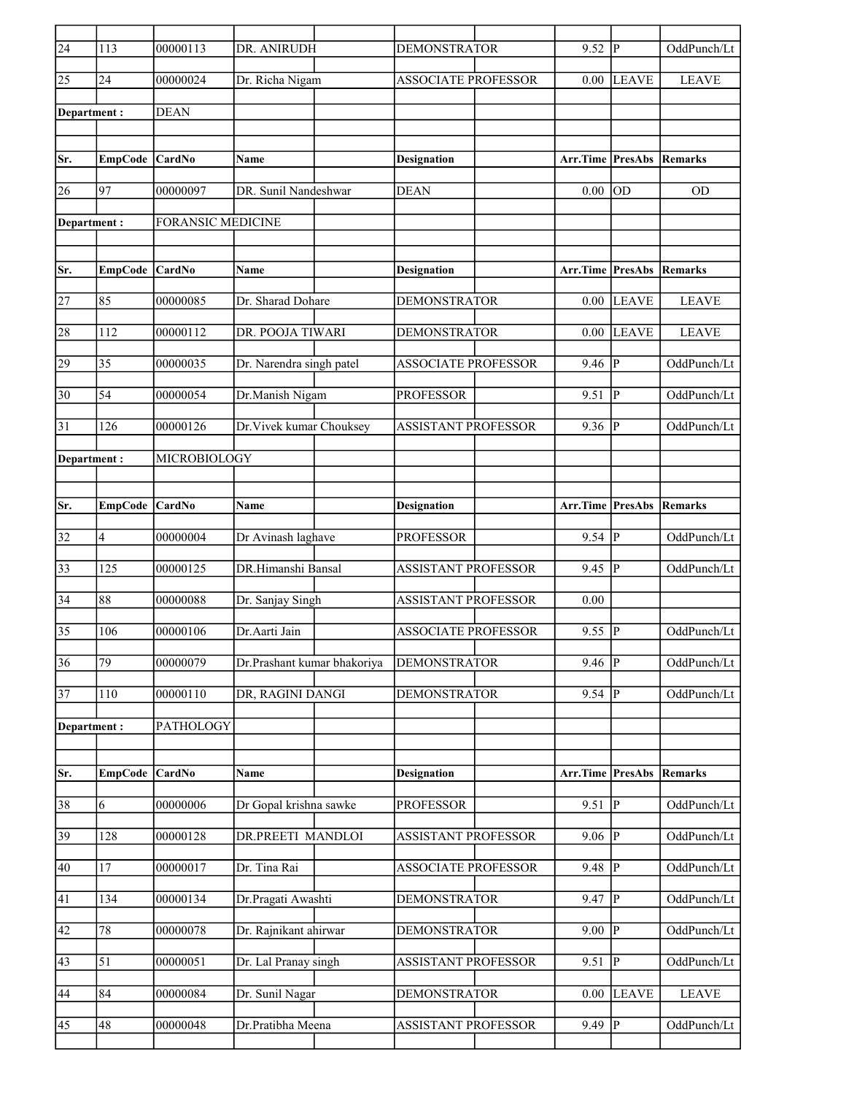| $\overline{24}$ | 113             | 00000113                 | DR. ANIRUDH                 | <b>DEMONSTRATOR</b>        | 9.52                    | lР                      | OddPunch/Lt  |
|-----------------|-----------------|--------------------------|-----------------------------|----------------------------|-------------------------|-------------------------|--------------|
| 25              | 24              | 00000024                 | Dr. Richa Nigam             | <b>ASSOCIATE PROFESSOR</b> | 0.00                    | LEAVE                   | <b>LEAVE</b> |
| Department :    |                 | <b>DEAN</b>              |                             |                            |                         |                         |              |
|                 |                 |                          |                             |                            |                         |                         |              |
| Sr.             | <b>EmpCode</b>  | <b>CardNo</b>            | Name                        | <b>Designation</b>         | Arr.Time                | PresAbs                 | Remarks      |
| 26              | 97              | 00000097                 | DR. Sunil Nandeshwar        | <b>DEAN</b>                | 0.00                    | OD                      | <b>OD</b>    |
| Department:     |                 | <b>FORANSIC MEDICINE</b> |                             |                            |                         |                         |              |
|                 |                 |                          |                             |                            |                         |                         |              |
| Sr.             | <b>EmpCode</b>  | CardNo                   | Name                        | <b>Designation</b>         | <b>Arr.Time PresAbs</b> |                         | Remarks      |
| 27              | 85              | 00000085                 | Dr. Sharad Dohare           | <b>DEMONSTRATOR</b>        | 0.00                    | <b>LEAVE</b>            | <b>LEAVE</b> |
| 28              | 112             | 00000112                 | DR. POOJA TIWARI            | <b>DEMONSTRATOR</b>        | 0.00                    | <b>LEAVE</b>            | <b>LEAVE</b> |
| 29              | 35              | 00000035                 | Dr. Narendra singh patel    | <b>ASSOCIATE PROFESSOR</b> | 9.46                    | $\mathsf{P}$            | OddPunch/Lt  |
| 30              | 54              | 00000054                 | Dr.Manish Nigam             | <b>PROFESSOR</b>           | 9.51                    | P                       | OddPunch/Lt  |
| 31              | 126             | 00000126                 | Dr. Vivek kumar Chouksey    | <b>ASSISTANT PROFESSOR</b> | 9.36                    | P                       | OddPunch/Lt  |
| Department:     |                 | MICROBIOLOGY             |                             |                            |                         |                         |              |
|                 |                 |                          |                             |                            |                         |                         |              |
| Sr.             | <b>EmpCode</b>  | CardNo                   | Name                        | <b>Designation</b>         | Arr.Time                | <b>PresAbs</b>          | Remarks      |
| 32              | $\overline{4}$  | 00000004                 | Dr Avinash laghave          | <b>PROFESSOR</b>           | $9.54$ P                |                         | OddPunch/Lt  |
| 33              | 125             | 00000125                 | DR.Himanshi Bansal          | <b>ASSISTANT PROFESSOR</b> | 9.45                    | P                       | OddPunch/Lt  |
| 34              | 88              | 00000088                 | Dr. Sanjay Singh            | <b>ASSISTANT PROFESSOR</b> | 0.00                    |                         |              |
| 35              | 106             | 00000106                 | Dr.Aarti Jain               | <b>ASSOCIATE PROFESSOR</b> | 9.55                    | P                       | OddPunch/Lt  |
| 36              | $\overline{79}$ | 00000079                 | Dr.Prashant kumar bhakoriya | <b>DEMONSTRATOR</b>        | 9.46                    | $\overline{\mathbb{P}}$ | OddPunch/Lt  |
| 37              | 110             | 00000110                 | DR, RAGINI DANGI            | <b>DEMONSTRATOR</b>        | $9.54$ P                |                         | OddPunch/Lt  |
| Department:     |                 | PATHOLOGY                |                             |                            |                         |                         |              |
|                 |                 |                          |                             |                            |                         |                         |              |
| Sr.             | <b>EmpCode</b>  | CardNo                   | Name                        | <b>Designation</b>         | Arr.Time                | PresAbs                 | Remarks      |
| 38              | 6               | 00000006                 | Dr Gopal krishna sawke      | <b>PROFESSOR</b>           | 9.51                    | ∣P                      | OddPunch/Lt  |
| 39              | 128             | 00000128                 | DR.PREETI MANDLOI           | ASSISTANT PROFESSOR        | 9.06                    | $\mathsf{P}$            | OddPunch/Lt  |
| 40              | 17              | 00000017                 | Dr. Tina Rai                | <b>ASSOCIATE PROFESSOR</b> | 9.48                    | P                       | OddPunch/Lt  |
| 41              | 134             | 00000134                 | Dr.Pragati Awashti          | <b>DEMONSTRATOR</b>        | $9.47$  P               |                         | OddPunch/Lt  |
| 42              | 78              | 00000078                 | Dr. Rajnikant ahirwar       | DEMONSTRATOR               | 9.00                    | ∣P                      | OddPunch/Lt  |
| 43              | 51              | 00000051                 | Dr. Lal Pranay singh        | ASSISTANT PROFESSOR        | 9.51                    | p                       | OddPunch/Lt  |
| 44              | 84              | 00000084                 | Dr. Sunil Nagar             | <b>DEMONSTRATOR</b>        | 0.00                    | <b>LEAVE</b>            | <b>LEAVE</b> |
| 45              | 48              | 00000048                 | Dr.Pratibha Meena           | ASSISTANT PROFESSOR        | 9.49                    | P                       | OddPunch/Lt  |
|                 |                 |                          |                             |                            |                         |                         |              |